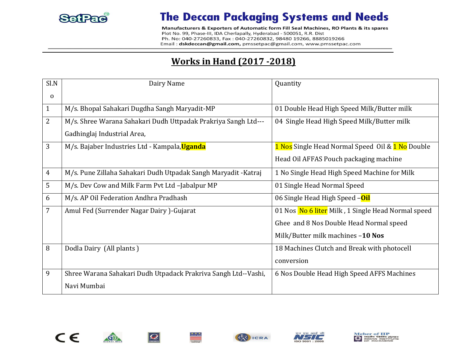

## **The Deccan Packaging Systems and Needs**

Manufacturers & Exporters of Automatic form Fill Seal Machines, RO Plants & its spares Plot No. 99, Phase-III, IDA Cherlapally, Hyderabad - 500051, R.R. Dist Ph. No: 040-27260833, Fax: 040-27260832, 98480 19266, 8885019266 Email: dskdeccan@gmail.com, pmssetpac@gmail.com, www.pmssetpac.com

## **Works in Hand (2017 -2018)**

| Sl.N           | Dairy Name                                                     | Quantity                                           |
|----------------|----------------------------------------------------------------|----------------------------------------------------|
| $\mathbf 0$    |                                                                |                                                    |
| $\mathbf{1}$   | M/s. Bhopal Sahakari Dugdha Sangh Maryadit-MP                  | 01 Double Head High Speed Milk/Butter milk         |
| $\overline{2}$ | M/s. Shree Warana Sahakari Dudh Uttpadak Prakriya Sangh Ltd--- | 04 Single Head High Speed Milk/Butter milk         |
|                | Gadhinglaj Industrial Area,                                    |                                                    |
| 3              | M/s. Bajaber Industries Ltd - Kampala, Uganda                  | 1 Nos Single Head Normal Speed Oil & 1 No Double   |
|                |                                                                | Head Oil AFFAS Pouch packaging machine             |
| 4              | M/s. Pune Zillaha Sahakari Dudh Utpadak Sangh Maryadit -Katraj | 1 No Single Head High Speed Machine for Milk       |
| 5              | M/s. Dev Cow and Milk Farm Pvt Ltd -Jabalpur MP                | 01 Single Head Normal Speed                        |
| 6              | M/s. AP Oil Federation Andhra Pradhash                         | 06 Single Head High Speed -Oil                     |
| 7              | Amul Fed (Surrender Nagar Dairy)-Gujarat                       | 01 Nos No 6 liter Milk, 1 Single Head Normal speed |
|                |                                                                | Ghee and 8 Nos Double Head Normal speed            |
|                |                                                                | Milk/Butter milk machines -10 Nos                  |
| 8              | Dodla Dairy (All plants)                                       | 18 Machines Clutch and Break with photocell        |
|                |                                                                | conversion                                         |
| 9              | Shree Warana Sahakari Dudh Utpadack Prakriva Sangh Ltd--Vashi, | 6 Nos Double Head High Speed AFFS Machines         |
|                | Navi Mumbai                                                    |                                                    |





 $\bigcirc$ 



 $* * *$ 



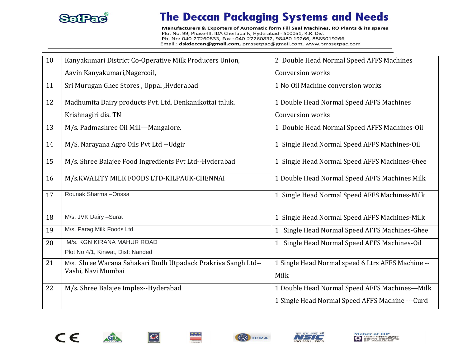

## **The Deccan Packaging Systems and Needs**

Manufacturers & Exporters of Automatic form Fill Seal Machines, RO Plants & its spares Plot No. 99, Phase-III, IDA Cherlapally, Hyderabad - 500051, R.R. Dist Ph. No: 040-27260833, Fax: 040-27260832, 98480 19266, 8885019266 Email: dskdeccan@gmail.com, pmssetpac@gmail.com, www.pmssetpac.com

| 10 | Kanyakumari District Co-Operative Milk Producers Union,       | 2 Double Head Normal Speed AFFS Machines          |
|----|---------------------------------------------------------------|---------------------------------------------------|
|    | Aavin Kanyakumari, Nagercoil,                                 | Conversion works                                  |
| 11 | Sri Murugan Ghee Stores, Uppal, Hyderabad                     | 1 No Oil Machine conversion works                 |
| 12 | Madhumita Dairy products Pvt. Ltd. Denkanikottai taluk.       | 1 Double Head Normal Speed AFFS Machines          |
|    | Krishnagiri dis. TN                                           | Conversion works                                  |
| 13 | M/s. Padmashree Oil Mill-Mangalore.                           | 1 Double Head Normal Speed AFFS Machines-Oil      |
| 14 | M/S. Narayana Agro Oils Pvt Ltd -- Udgir                      | 1 Single Head Normal Speed AFFS Machines-Oil      |
| 15 | M/s. Shree Balajee Food Ingredients Pvt Ltd--Hyderabad        | 1 Single Head Normal Speed AFFS Machines-Ghee     |
| 16 | M/s.KWALITY MILK FOODS LTD-KILPAUK-CHENNAI                    | 1 Double Head Normal Speed AFFS Machines Milk     |
| 17 | Rounak Sharma-Orissa                                          | 1 Single Head Normal Speed AFFS Machines-Milk     |
| 18 | M/s. JVK Dairy -Surat                                         | 1 Single Head Normal Speed AFFS Machines-Milk     |
| 19 | M/s. Parag Milk Foods Ltd                                     | 1 Single Head Normal Speed AFFS Machines-Ghee     |
| 20 | M/s. KGN KIRANA MAHUR ROAD                                    | 1 Single Head Normal Speed AFFS Machines-Oil      |
|    | Plot No 4/1, Kinwat, Dist: Nanded                             |                                                   |
| 21 | M/s. Shree Warana Sahakari Dudh Utpadack Prakriva Sangh Ltd-- | 1 Single Head Normal speed 6 Ltrs AFFS Machine -- |
|    | Vashi, Navi Mumbai                                            | Milk                                              |
| 22 | M/s. Shree Balajee Implex--Hyderabad                          | 1 Double Head Normal Speed AFFS Machines-Milk     |
|    |                                                               | 1 Single Head Normal Speed AFFS Machine --- Curd  |





金